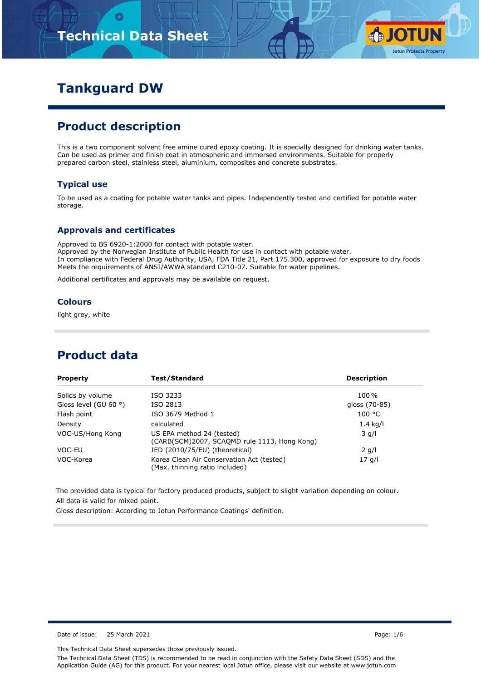# **Technical Data Sheet**



# **Tankguard DW**

# **Product description**

This is a two component solvent free amine cured epoxy coating. It is specially designed for drinking water tanks. Can be used as primer and finish coat in atmospheric and immersed environments. Suitable for properly prepared carbon steel, stainless steel, aluminium, composites and concrete substrates.

#### **Typical use**

To be used as a coating for potable water tanks and pipes. Independently tested and certified for potable water storage.

#### **Approvals and certificates**

Approved to BS 6920-1:2000 for contact with potable water. Approved by the Norwegian Institute of Public Health for use in contact with potable water. In compliance with Federal Drug Authority, USA, FDA Title 21, Part 175.300, approved for exposure to dry foods Meets the requirements of ANSI/AWWA standard C210-07. Suitable for water pipelines.

Additional certificates and approvals may be available on request.

#### **Colours**

light grey, white

### **Product data**

| <b>Property</b>                | Test/Standard                                                               | <b>Description</b> |
|--------------------------------|-----------------------------------------------------------------------------|--------------------|
| Solids by volume               | ISO 3233                                                                    | 100%               |
| Gloss level (GU 60 $\degree$ ) | ISO 2813                                                                    | gloss (70-85)      |
| Flash point                    | ISO 3679 Method 1                                                           | 100 °C             |
| Density                        | calculated                                                                  | $1.4$ kg/l         |
| VOC-US/Hong Kong               | US EPA method 24 (tested)<br>(CARB(SCM)2007, SCAQMD rule 1113, Hong Kong)   | $3$ g/l            |
| VOC-EU                         | IED (2010/75/EU) (theoretical)                                              | $2$ g/l            |
| VOC-Korea                      | Korea Clean Air Conservation Act (tested)<br>(Max. thinning ratio included) | 17q/l              |

The provided data is typical for factory produced products, subject to slight variation depending on colour. All data is valid for mixed paint.

Gloss description: According to Jotun Performance Coatings' definition.

Date of issue: 25 March 2021 Page: 1/6

This Technical Data Sheet supersedes those previously issued.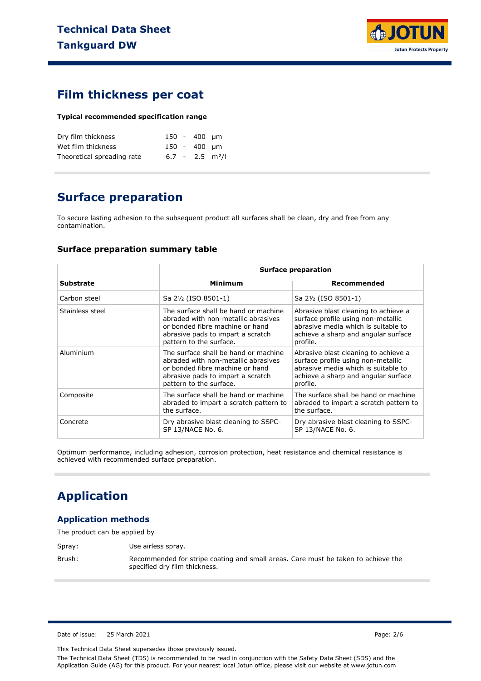

### **Film thickness per coat**

#### **Typical recommended specification range**

| Dry film thickness         |  | 150 - 400 um                  |  |
|----------------------------|--|-------------------------------|--|
| Wet film thickness         |  | 150 - 400 µm                  |  |
| Theoretical spreading rate |  | $6.7 - 2.5$ m <sup>2</sup> /l |  |

# **Surface preparation**

To secure lasting adhesion to the subsequent product all surfaces shall be clean, dry and free from any contamination.

#### **Surface preparation summary table**

|                 |                                                                                                                                                                                | <b>Surface preparation</b>                                                                                                                                           |  |  |
|-----------------|--------------------------------------------------------------------------------------------------------------------------------------------------------------------------------|----------------------------------------------------------------------------------------------------------------------------------------------------------------------|--|--|
| Substrate       | Minimum                                                                                                                                                                        | Recommended                                                                                                                                                          |  |  |
| Carbon steel    | Sa 2½ (ISO 8501-1)                                                                                                                                                             | Sa 2½ (ISO 8501-1)                                                                                                                                                   |  |  |
| Stainless steel | The surface shall be hand or machine<br>abraded with non-metallic abrasives<br>or bonded fibre machine or hand<br>abrasive pads to impart a scratch<br>pattern to the surface. | Abrasive blast cleaning to achieve a<br>surface profile using non-metallic<br>abrasive media which is suitable to<br>achieve a sharp and angular surface<br>profile. |  |  |
| Aluminium       | The surface shall be hand or machine<br>abraded with non-metallic abrasives<br>or bonded fibre machine or hand<br>abrasive pads to impart a scratch<br>pattern to the surface. | Abrasive blast cleaning to achieve a<br>surface profile using non-metallic<br>abrasive media which is suitable to<br>achieve a sharp and angular surface<br>profile. |  |  |
| Composite       | The surface shall be hand or machine<br>abraded to impart a scratch pattern to<br>the surface.                                                                                 | The surface shall be hand or machine<br>abraded to impart a scratch pattern to<br>the surface.                                                                       |  |  |
| Concrete        | Dry abrasive blast cleaning to SSPC-<br>SP 13/NACE No. 6.                                                                                                                      | Dry abrasive blast cleaning to SSPC-<br>SP 13/NACE No. 6.                                                                                                            |  |  |

Optimum performance, including adhesion, corrosion protection, heat resistance and chemical resistance is achieved with recommended surface preparation.

# **Application**

#### **Application methods**

The product can be applied by

Spray: Use airless spray.

Brush: Recommended for stripe coating and small areas. Care must be taken to achieve the specified dry film thickness.

Date of issue: 25 March 2021 Page: 2/6

This Technical Data Sheet supersedes those previously issued.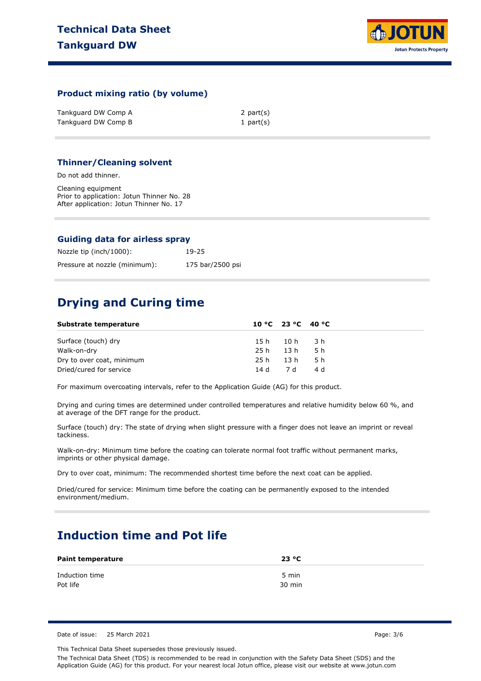

#### **Product mixing ratio (by volume)**

| Tankguard DW Comp A | 2 part(s)    |
|---------------------|--------------|
| Tankguard DW Comp B | 1 part $(s)$ |

#### **Thinner/Cleaning solvent**

Do not add thinner.

Cleaning equipment Prior to application: Jotun Thinner No. 28 After application: Jotun Thinner No. 17

#### **Guiding data for airless spray**

| Nozzle tip (inch/1000):       | 19-25            |
|-------------------------------|------------------|
| Pressure at nozzle (minimum): | 175 bar/2500 psi |

# **Drying and Curing time**

| Substrate temperature     |      | 10 °C 23 °C 40 °C |      |  |
|---------------------------|------|-------------------|------|--|
| Surface (touch) dry       |      | 15h 10h 3h        |      |  |
| Walk-on-dry               |      | 25h 13h           | 5 h  |  |
| Dry to over coat, minimum | 25 h | 13 h              | -5 h |  |
| Dried/cured for service   |      | 14 d 7 d          | 4 d  |  |

For maximum overcoating intervals, refer to the Application Guide (AG) for this product.

Drying and curing times are determined under controlled temperatures and relative humidity below 60 %, and at average of the DFT range for the product.

Surface (touch) dry: The state of drying when slight pressure with a finger does not leave an imprint or reveal tackiness.

Walk-on-dry: Minimum time before the coating can tolerate normal foot traffic without permanent marks, imprints or other physical damage.

Dry to over coat, minimum: The recommended shortest time before the next coat can be applied.

Dried/cured for service: Minimum time before the coating can be permanently exposed to the intended environment/medium.

# **Induction time and Pot life**

| <b>Paint temperature</b> | 23 °C            |
|--------------------------|------------------|
| Induction time           | 5 min            |
| Pot life                 | $30 \text{ min}$ |

Date of issue: 25 March 2021 Page: 3/6

This Technical Data Sheet supersedes those previously issued.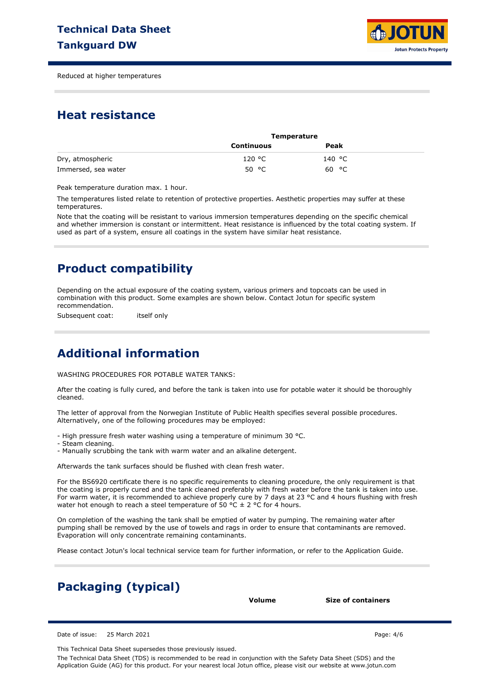

Reduced at higher temperatures

### **Heat resistance**

|                     | <b>Temperature</b> |        |  |
|---------------------|--------------------|--------|--|
|                     | Continuous         | Peak   |  |
| Dry, atmospheric    | 120 °C             | 140 °C |  |
| Immersed, sea water | 50 °C              | 60 °C  |  |

Peak temperature duration max. 1 hour.

The temperatures listed relate to retention of protective properties. Aesthetic properties may suffer at these temperatures.

Note that the coating will be resistant to various immersion temperatures depending on the specific chemical and whether immersion is constant or intermittent. Heat resistance is influenced by the total coating system. If used as part of a system, ensure all coatings in the system have similar heat resistance.

# **Product compatibility**

Depending on the actual exposure of the coating system, various primers and topcoats can be used in combination with this product. Some examples are shown below. Contact Jotun for specific system recommendation.

Subsequent coat: itself only

# **Additional information**

WASHING PROCEDURES FOR POTABLE WATER TANKS:

After the coating is fully cured, and before the tank is taken into use for potable water it should be thoroughly cleaned.

The letter of approval from the Norwegian Institute of Public Health specifies several possible procedures. Alternatively, one of the following procedures may be employed:

- High pressure fresh water washing using a temperature of minimum 30 °C.

- Steam cleaning.

- Manually scrubbing the tank with warm water and an alkaline detergent.

Afterwards the tank surfaces should be flushed with clean fresh water.

For the BS6920 certificate there is no specific requirements to cleaning procedure, the only requirement is that the coating is properly cured and the tank cleaned preferably with fresh water before the tank is taken into use. For warm water, it is recommended to achieve properly cure by 7 days at 23 °C and 4 hours flushing with fresh water hot enough to reach a steel temperature of 50  $\degree$ C  $\pm$  2  $\degree$ C for 4 hours.

On completion of the washing the tank shall be emptied of water by pumping. The remaining water after pumping shall be removed by the use of towels and rags in order to ensure that contaminants are removed. Evaporation will only concentrate remaining contaminants.

Please contact Jotun's local technical service team for further information, or refer to the Application Guide.

# **Packaging (typical)**

**Volume Size of containers**

Date of issue: 25 March 2021 Page: 4/6

This Technical Data Sheet supersedes those previously issued.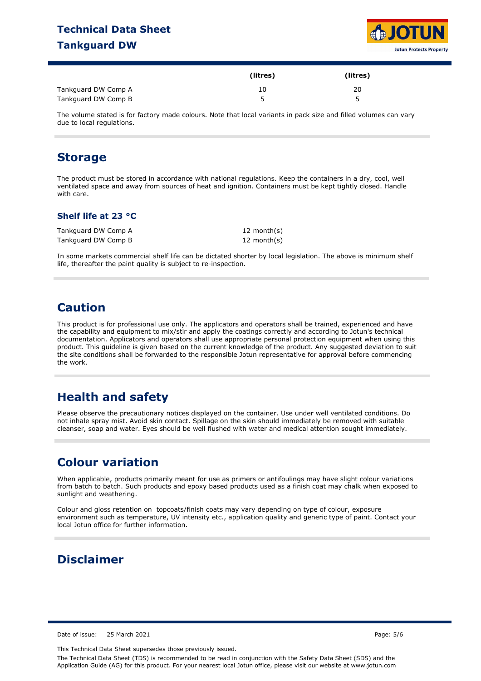### **Technical Data Sheet Tankguard DW**



|                     | (litres) | (litres) |
|---------------------|----------|----------|
| Tankguard DW Comp A | 10       | 20       |
| Tankguard DW Comp B |          |          |

The volume stated is for factory made colours. Note that local variants in pack size and filled volumes can vary due to local regulations.

### **Storage**

The product must be stored in accordance with national regulations. Keep the containers in a dry, cool, well ventilated space and away from sources of heat and ignition. Containers must be kept tightly closed. Handle with care.

#### **Shelf life at 23 °C**

| Tankguard DW Comp A | 12 month(s)    |
|---------------------|----------------|
| Tankguard DW Comp B | 12 month $(s)$ |

In some markets commercial shelf life can be dictated shorter by local legislation. The above is minimum shelf life, thereafter the paint quality is subject to re-inspection.

### **Caution**

This product is for professional use only. The applicators and operators shall be trained, experienced and have the capability and equipment to mix/stir and apply the coatings correctly and according to Jotun's technical documentation. Applicators and operators shall use appropriate personal protection equipment when using this product. This guideline is given based on the current knowledge of the product. Any suggested deviation to suit the site conditions shall be forwarded to the responsible Jotun representative for approval before commencing the work.

# **Health and safety**

Please observe the precautionary notices displayed on the container. Use under well ventilated conditions. Do not inhale spray mist. Avoid skin contact. Spillage on the skin should immediately be removed with suitable cleanser, soap and water. Eyes should be well flushed with water and medical attention sought immediately.

### **Colour variation**

When applicable, products primarily meant for use as primers or antifoulings may have slight colour variations from batch to batch. Such products and epoxy based products used as a finish coat may chalk when exposed to sunlight and weathering.

Colour and gloss retention on topcoats/finish coats may vary depending on type of colour, exposure environment such as temperature, UV intensity etc., application quality and generic type of paint. Contact your local Jotun office for further information.

### **Disclaimer**

Date of issue: 25 March 2021 **Page: 5/6** Page: 5/6

This Technical Data Sheet supersedes those previously issued.